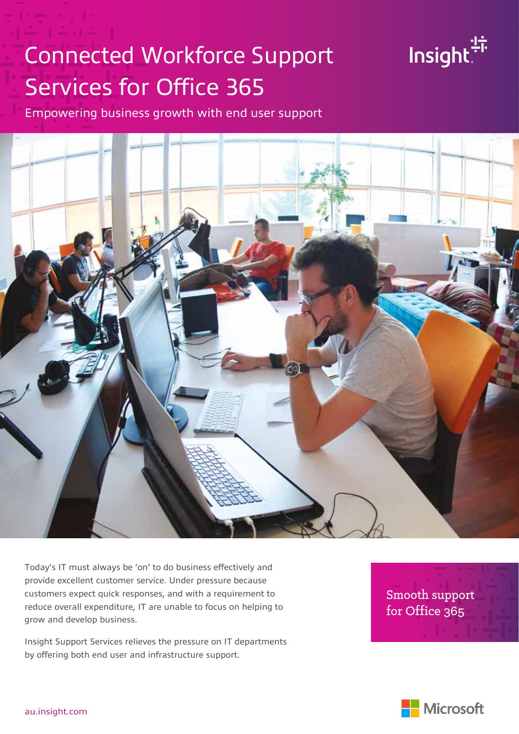# Connected Workforce Support Services for Office 365



Empowering business growth with end user support



Today's IT must always be 'on' to do business effectively and provide excellent customer service. Under pressure because customers expect quick responses, and with a requirement to reduce overall expenditure, IT are unable to focus on helping to grow and develop business.

Insight Support Services relieves the pressure on IT departments by offering both end user and infrastructure support.

Smooth support for Office 365